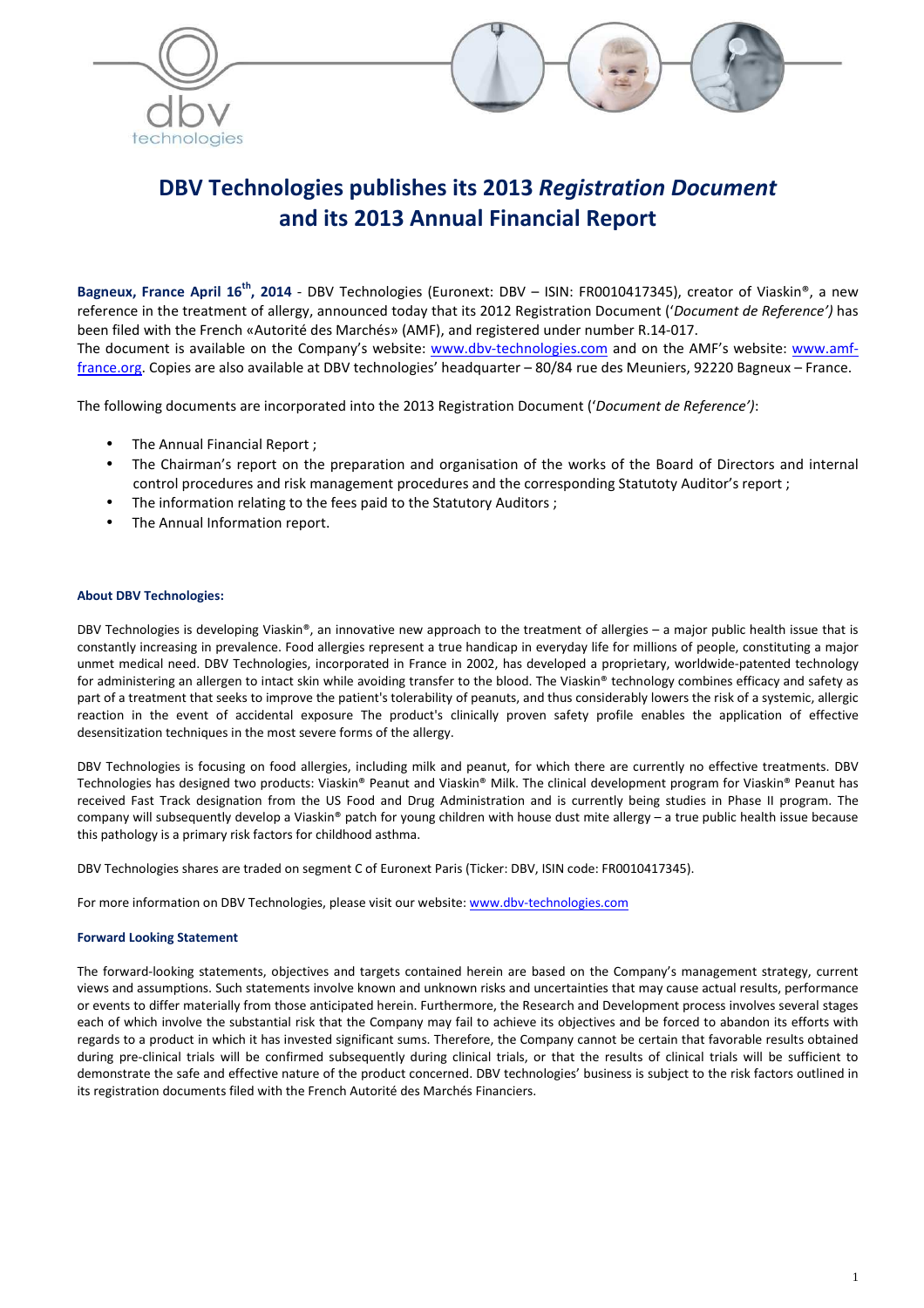



# **DBV Technologies publishes its 2013** *Registration Document* **and its 2013 Annual Financial Report**

**Bagneux, France April 16th, 2014** - DBV Technologies (Euronext: DBV – ISIN: FR0010417345), creator of Viaskin®, a new reference in the treatment of allergy, announced today that its 2012 Registration Document ('*Document de Reference')* has been filed with the French «Autorité des Marchés» (AMF), and registered under number R.14-017. The document is available on the Company's website: www.dbv-technologies.com and on the AMF's website: www.amffrance.org. Copies are also available at DBV technologies' headquarter – 80/84 rue des Meuniers, 92220 Bagneux – France.

The following documents are incorporated into the 2013 Registration Document ('*Document de Reference')*:

- The Annual Financial Report ;
- The Chairman's report on the preparation and organisation of the works of the Board of Directors and internal control procedures and risk management procedures and the corresponding Statutoty Auditor's report ;
- The information relating to the fees paid to the Statutory Auditors ;
- The Annual Information report.

#### **About DBV Technologies:**

DBV Technologies is developing Viaskin®, an innovative new approach to the treatment of allergies – a major public health issue that is constantly increasing in prevalence. Food allergies represent a true handicap in everyday life for millions of people, constituting a major unmet medical need. DBV Technologies, incorporated in France in 2002, has developed a proprietary, worldwide-patented technology for administering an allergen to intact skin while avoiding transfer to the blood. The Viaskin® technology combines efficacy and safety as part of a treatment that seeks to improve the patient's tolerability of peanuts, and thus considerably lowers the risk of a systemic, allergic reaction in the event of accidental exposure The product's clinically proven safety profile enables the application of effective desensitization techniques in the most severe forms of the allergy.

DBV Technologies is focusing on food allergies, including milk and peanut, for which there are currently no effective treatments. DBV Technologies has designed two products: Viaskin® Peanut and Viaskin® Milk. The clinical development program for Viaskin® Peanut has received Fast Track designation from the US Food and Drug Administration and is currently being studies in Phase II program. The company will subsequently develop a Viaskin® patch for young children with house dust mite allergy – a true public health issue because this pathology is a primary risk factors for childhood asthma.

DBV Technologies shares are traded on segment C of Euronext Paris (Ticker: DBV, ISIN code: FR0010417345).

For more information on DBV Technologies, please visit our website: www.dbv-technologies.com

## **Forward Looking Statement**

The forward-looking statements, objectives and targets contained herein are based on the Company's management strategy, current views and assumptions. Such statements involve known and unknown risks and uncertainties that may cause actual results, performance or events to differ materially from those anticipated herein. Furthermore, the Research and Development process involves several stages each of which involve the substantial risk that the Company may fail to achieve its objectives and be forced to abandon its efforts with regards to a product in which it has invested significant sums. Therefore, the Company cannot be certain that favorable results obtained during pre-clinical trials will be confirmed subsequently during clinical trials, or that the results of clinical trials will be sufficient to demonstrate the safe and effective nature of the product concerned. DBV technologies' business is subject to the risk factors outlined in its registration documents filed with the French Autorité des Marchés Financiers.